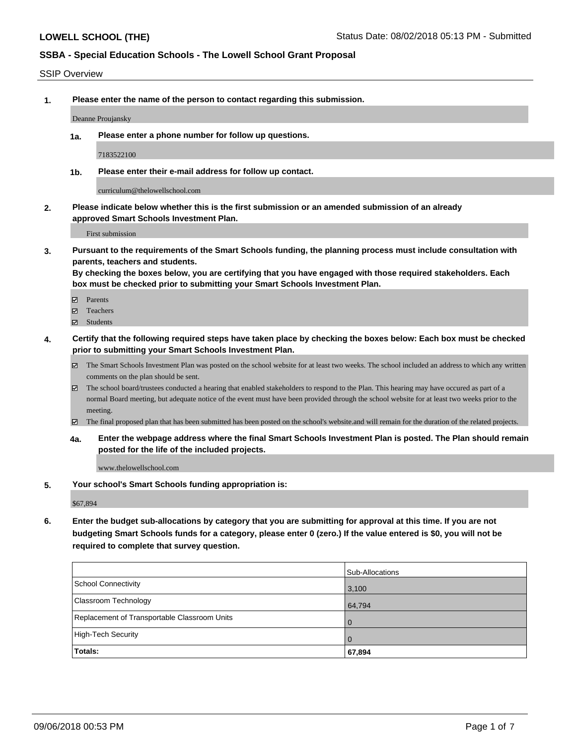#### SSIP Overview

**1. Please enter the name of the person to contact regarding this submission.**

Deanne Proujansky

**1a. Please enter a phone number for follow up questions.**

7183522100

**1b. Please enter their e-mail address for follow up contact.**

curriculum@thelowellschool.com

**2. Please indicate below whether this is the first submission or an amended submission of an already approved Smart Schools Investment Plan.**

First submission

**3. Pursuant to the requirements of the Smart Schools funding, the planning process must include consultation with parents, teachers and students.**

**By checking the boxes below, you are certifying that you have engaged with those required stakeholders. Each box must be checked prior to submitting your Smart Schools Investment Plan.**

- Parents
- Teachers
- Students
- **4. Certify that the following required steps have taken place by checking the boxes below: Each box must be checked prior to submitting your Smart Schools Investment Plan.**
	- The Smart Schools Investment Plan was posted on the school website for at least two weeks. The school included an address to which any written comments on the plan should be sent.
	- The school board/trustees conducted a hearing that enabled stakeholders to respond to the Plan. This hearing may have occured as part of a normal Board meeting, but adequate notice of the event must have been provided through the school website for at least two weeks prior to the meeting.
	- The final proposed plan that has been submitted has been posted on the school's website.and will remain for the duration of the related projects.
	- **4a. Enter the webpage address where the final Smart Schools Investment Plan is posted. The Plan should remain posted for the life of the included projects.**

www.thelowellschool.com

**5. Your school's Smart Schools funding appropriation is:**

\$67,894

**6. Enter the budget sub-allocations by category that you are submitting for approval at this time. If you are not budgeting Smart Schools funds for a category, please enter 0 (zero.) If the value entered is \$0, you will not be required to complete that survey question.**

|                                              | Sub-Allocations |
|----------------------------------------------|-----------------|
| School Connectivity                          | 3,100           |
| Classroom Technology                         | 64,794          |
| Replacement of Transportable Classroom Units | $\overline{0}$  |
| High-Tech Security                           | $\overline{0}$  |
| Totals:                                      | 67,894          |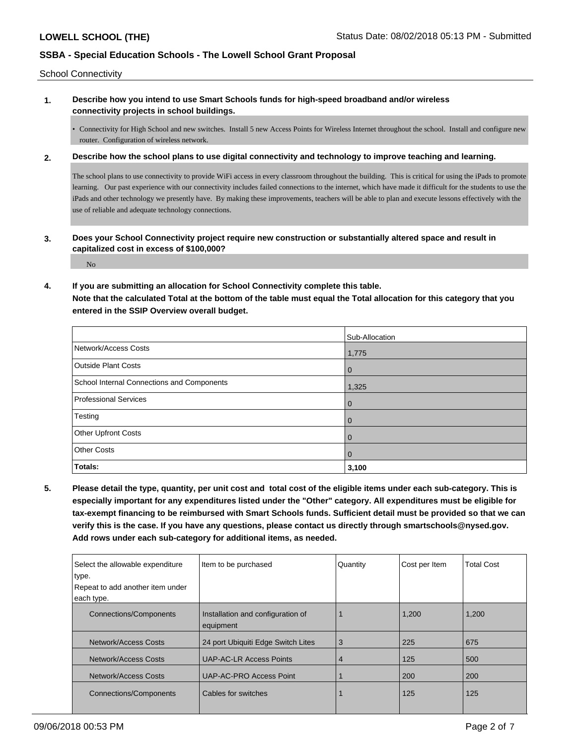School Connectivity

**1. Describe how you intend to use Smart Schools funds for high-speed broadband and/or wireless connectivity projects in school buildings.**

• Connectivity for High School and new switches. Install 5 new Access Points for Wireless Internet throughout the school. Install and configure new router. Configuration of wireless network.

**2. Describe how the school plans to use digital connectivity and technology to improve teaching and learning.**

The school plans to use connectivity to provide WiFi access in every classroom throughout the building. This is critical for using the iPads to promote learning. Our past experience with our connectivity includes failed connections to the internet, which have made it difficult for the students to use the iPads and other technology we presently have. By making these improvements, teachers will be able to plan and execute lessons effectively with the use of reliable and adequate technology connections.

**3. Does your School Connectivity project require new construction or substantially altered space and result in capitalized cost in excess of \$100,000?**

No

#### **4. If you are submitting an allocation for School Connectivity complete this table.**

**Note that the calculated Total at the bottom of the table must equal the Total allocation for this category that you entered in the SSIP Overview overall budget.** 

|                                            | Sub-Allocation |
|--------------------------------------------|----------------|
| Network/Access Costs                       | 1,775          |
| <b>Outside Plant Costs</b>                 | $\overline{0}$ |
| School Internal Connections and Components | 1,325          |
| Professional Services                      | $\Omega$       |
| Testing                                    | $\mathbf 0$    |
| Other Upfront Costs                        | $\Omega$       |
| <b>Other Costs</b>                         | $\mathbf 0$    |
| Totals:                                    | 3,100          |

**5. Please detail the type, quantity, per unit cost and total cost of the eligible items under each sub-category. This is especially important for any expenditures listed under the "Other" category. All expenditures must be eligible for tax-exempt financing to be reimbursed with Smart Schools funds. Sufficient detail must be provided so that we can verify this is the case. If you have any questions, please contact us directly through smartschools@nysed.gov. Add rows under each sub-category for additional items, as needed.**

| Select the allowable expenditure | Item to be purchased                           | Quantity | Cost per Item | <b>Total Cost</b> |
|----------------------------------|------------------------------------------------|----------|---------------|-------------------|
| type.                            |                                                |          |               |                   |
| Repeat to add another item under |                                                |          |               |                   |
| each type.                       |                                                |          |               |                   |
| <b>Connections/Components</b>    | Installation and configuration of<br>equipment |          | 1,200         | 1,200             |
| Network/Access Costs             | 24 port Ubiquiti Edge Switch Lites             | 3        | 225           | 675               |
| Network/Access Costs             | <b>UAP-AC-LR Access Points</b>                 | 4        | 125           | 500               |
| Network/Access Costs             | UAP-AC-PRO Access Point                        |          | 200           | 200               |
| <b>Connections/Components</b>    | Cables for switches                            |          | 125           | 125               |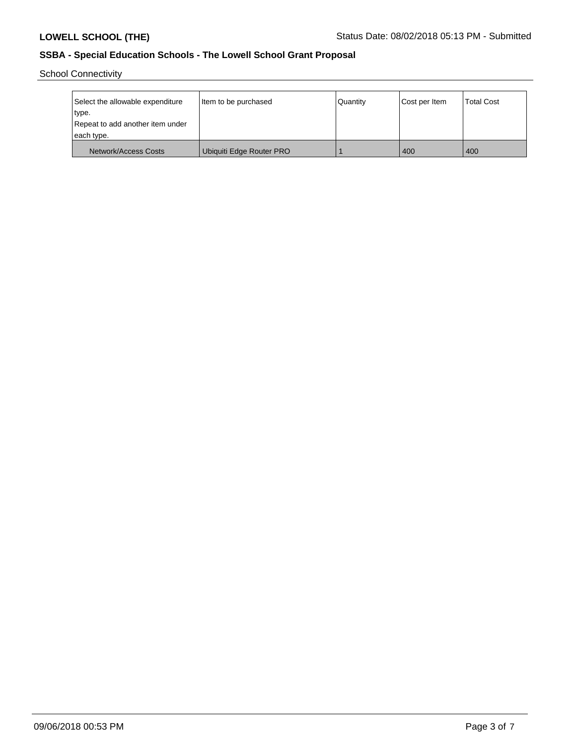School Connectivity

| Select the allowable expenditure | Item to be purchased     | Quantity | Cost per Item | <b>Total Cost</b> |
|----------------------------------|--------------------------|----------|---------------|-------------------|
| type.                            |                          |          |               |                   |
| Repeat to add another item under |                          |          |               |                   |
| each type.                       |                          |          |               |                   |
| Network/Access Costs             | Ubiquiti Edge Router PRO |          | 400           | 400               |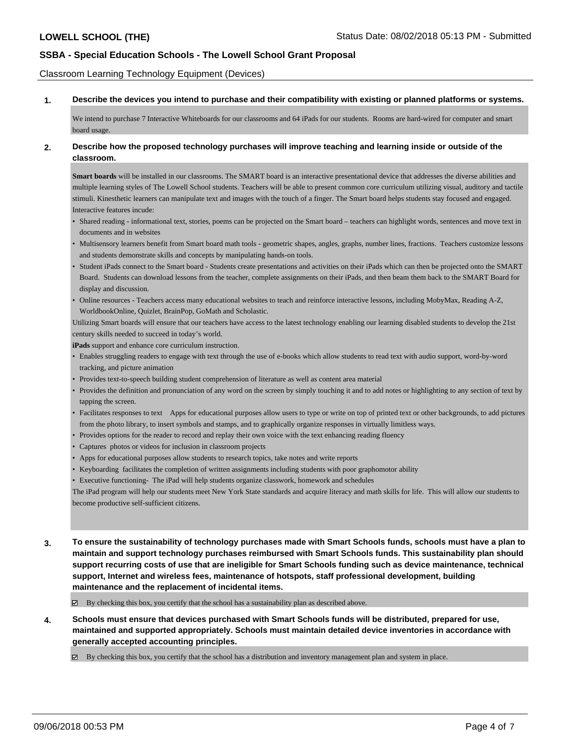Classroom Learning Technology Equipment (Devices)

**1. Describe the devices you intend to purchase and their compatibility with existing or planned platforms or systems.**

We intend to purchase 7 Interactive Whiteboards for our classrooms and 64 iPads for our students. Rooms are hard-wired for computer and smart board usage.

#### **2. Describe how the proposed technology purchases will improve teaching and learning inside or outside of the classroom.**

**Smart boards** will be installed in our classrooms. The SMART board is an interactive presentational device that addresses the diverse abilities and multiple learning styles of The Lowell School students. Teachers will be able to present common core curriculum utilizing visual, auditory and tactile stimuli. Kinesthetic learners can manipulate text and images with the touch of a finger. The Smart board helps students stay focused and engaged. Interactive features incude:

- Shared reading informational text, stories, poems can be projected on the Smart board teachers can highlight words, sentences and move text in documents and in websites
- Multisensory learners benefit from Smart board math tools geometric shapes, angles, graphs, number lines, fractions. Teachers customize lessons and students demonstrate skills and concepts by manipulating hands-on tools.
- Student iPads connect to the Smart board Students create presentations and activities on their iPads which can then be projected onto the SMART Board. Students can download lessons from the teacher, complete assignments on their iPads, and then beam them back to the SMART Board for display and discussion.
- Online resources Teachers access many educational websites to teach and reinforce interactive lessons, including MobyMax, Reading A-Z, WorldbookOnline, Quizlet, BrainPop, GoMath and Scholastic.

Utilizing Smart boards will ensure that our teachers have access to the latest technology enabling our learning disabled students to develop the 21st century skills needed to succeed in today's world.

**iPads** support and enhance core curriculum instruction.

- Enables struggling readers to engage with text through the use of e-books which allow students to read text with audio support, word-by-word tracking, and picture animation
- Provides text-to-speech building student comprehension of literature as well as content area material
- Provides the definition and pronunciation of any word on the screen by simply touching it and to add notes or highlighting to any section of text by tapping the screen.
- Facilitates responses to text Apps for educational purposes allow users to type or write on top of printed text or other backgrounds, to add pictures from the photo library, to insert symbols and stamps, and to graphically organize responses in virtually limitless ways.
- Provides options for the reader to record and replay their own voice with the text enhancing reading fluency
- Captures photos or videos for inclusion in classroom projects
- Apps for educational purposes allow students to research topics, take notes and write reports
- Keyboarding facilitates the completion of written assignments including students with poor graphomotor ability
- Executive functioning- The iPad will help students organize classwork, homework and schedules

The iPad program will help our students meet New York State standards and acquire literacy and math skills for life. This will allow our students to become productive self-sufficient citizens.

**3. To ensure the sustainability of technology purchases made with Smart Schools funds, schools must have a plan to maintain and support technology purchases reimbursed with Smart Schools funds. This sustainability plan should support recurring costs of use that are ineligible for Smart Schools funding such as device maintenance, technical support, Internet and wireless fees, maintenance of hotspots, staff professional development, building maintenance and the replacement of incidental items.**

 $\boxtimes$  By checking this box, you certify that the school has a sustainability plan as described above.

**4. Schools must ensure that devices purchased with Smart Schools funds will be distributed, prepared for use, maintained and supported appropriately. Schools must maintain detailed device inventories in accordance with generally accepted accounting principles.**

By checking this box, you certify that the school has a distribution and inventory management plan and system in place.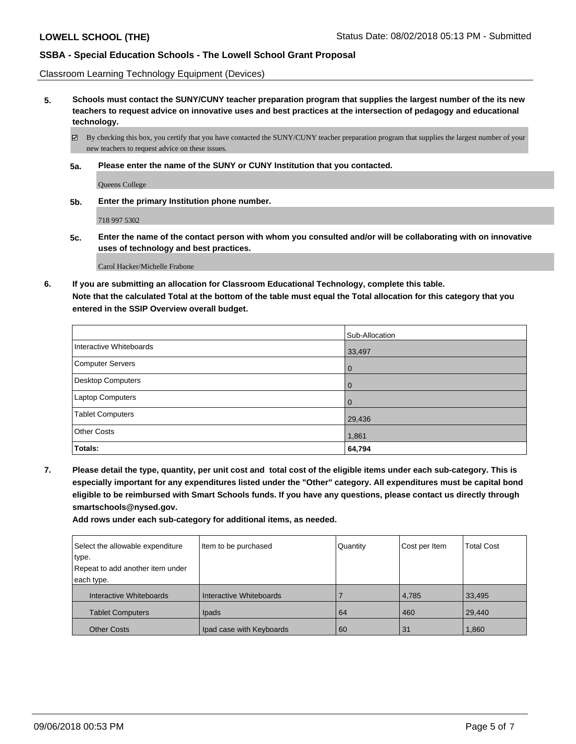Classroom Learning Technology Equipment (Devices)

**5. Schools must contact the SUNY/CUNY teacher preparation program that supplies the largest number of the its new teachers to request advice on innovative uses and best practices at the intersection of pedagogy and educational technology.**

By checking this box, you certify that you have contacted the SUNY/CUNY teacher preparation program that supplies the largest number of your new teachers to request advice on these issues.

**5a. Please enter the name of the SUNY or CUNY Institution that you contacted.**

Queens College

**5b. Enter the primary Institution phone number.**

718 997 5302

**5c. Enter the name of the contact person with whom you consulted and/or will be collaborating with on innovative uses of technology and best practices.**

Carol Hacker/Michelle Frabone

**6. If you are submitting an allocation for Classroom Educational Technology, complete this table. Note that the calculated Total at the bottom of the table must equal the Total allocation for this category that you entered in the SSIP Overview overall budget.**

|                          | Sub-Allocation |
|--------------------------|----------------|
| Interactive Whiteboards  | 33,497         |
| Computer Servers         | l O            |
| <b>Desktop Computers</b> | l O            |
| Laptop Computers         | l O            |
| <b>Tablet Computers</b>  | 29,436         |
| <b>Other Costs</b>       | 1,861          |
| Totals:                  | 64,794         |

**7. Please detail the type, quantity, per unit cost and total cost of the eligible items under each sub-category. This is especially important for any expenditures listed under the "Other" category. All expenditures must be capital bond eligible to be reimbursed with Smart Schools funds. If you have any questions, please contact us directly through smartschools@nysed.gov.**

**Add rows under each sub-category for additional items, as needed.**

| Select the allowable expenditure | Item to be purchased     | Quantity | Cost per Item | <b>Total Cost</b> |
|----------------------------------|--------------------------|----------|---------------|-------------------|
| type.                            |                          |          |               |                   |
| Repeat to add another item under |                          |          |               |                   |
| each type.                       |                          |          |               |                   |
| Interactive Whiteboards          | Interactive Whiteboards  |          | 4,785         | 33,495            |
| <b>Tablet Computers</b>          | Ipads                    | 64       | 460           | 29.440            |
| <b>Other Costs</b>               | Ipad case with Keyboards | 60       | 31            | 1,860             |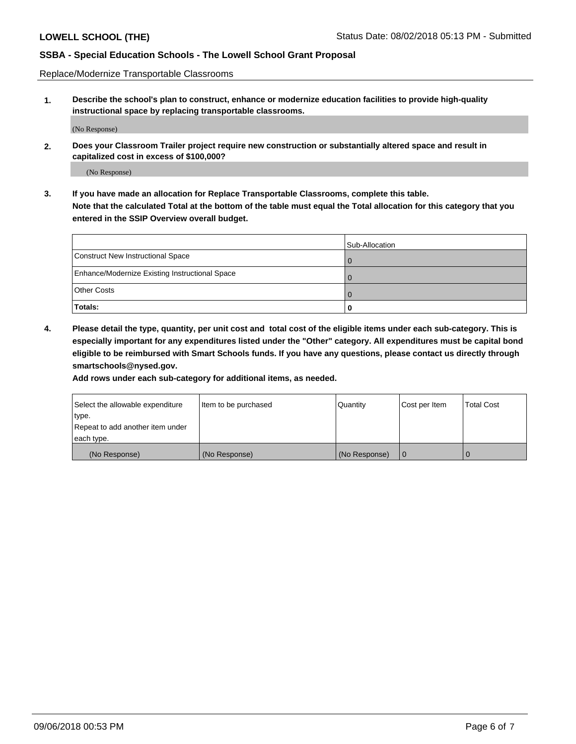Replace/Modernize Transportable Classrooms

**1. Describe the school's plan to construct, enhance or modernize education facilities to provide high-quality instructional space by replacing transportable classrooms.**

(No Response)

**2. Does your Classroom Trailer project require new construction or substantially altered space and result in capitalized cost in excess of \$100,000?**

(No Response)

**3. If you have made an allocation for Replace Transportable Classrooms, complete this table. Note that the calculated Total at the bottom of the table must equal the Total allocation for this category that you entered in the SSIP Overview overall budget.**

|                                                | Sub-Allocation |
|------------------------------------------------|----------------|
| Construct New Instructional Space              |                |
| Enhance/Modernize Existing Instructional Space |                |
| Other Costs                                    |                |
| Totals:                                        | 0              |

**4. Please detail the type, quantity, per unit cost and total cost of the eligible items under each sub-category. This is especially important for any expenditures listed under the "Other" category. All expenditures must be capital bond eligible to be reimbursed with Smart Schools funds. If you have any questions, please contact us directly through smartschools@nysed.gov.**

**Add rows under each sub-category for additional items, as needed.**

| Select the allowable expenditure | Item to be purchased | Quantity      | Cost per Item | <b>Total Cost</b> |
|----------------------------------|----------------------|---------------|---------------|-------------------|
| ∣type.                           |                      |               |               |                   |
| Repeat to add another item under |                      |               |               |                   |
| each type.                       |                      |               |               |                   |
| (No Response)                    | (No Response)        | (No Response) | l 0           |                   |